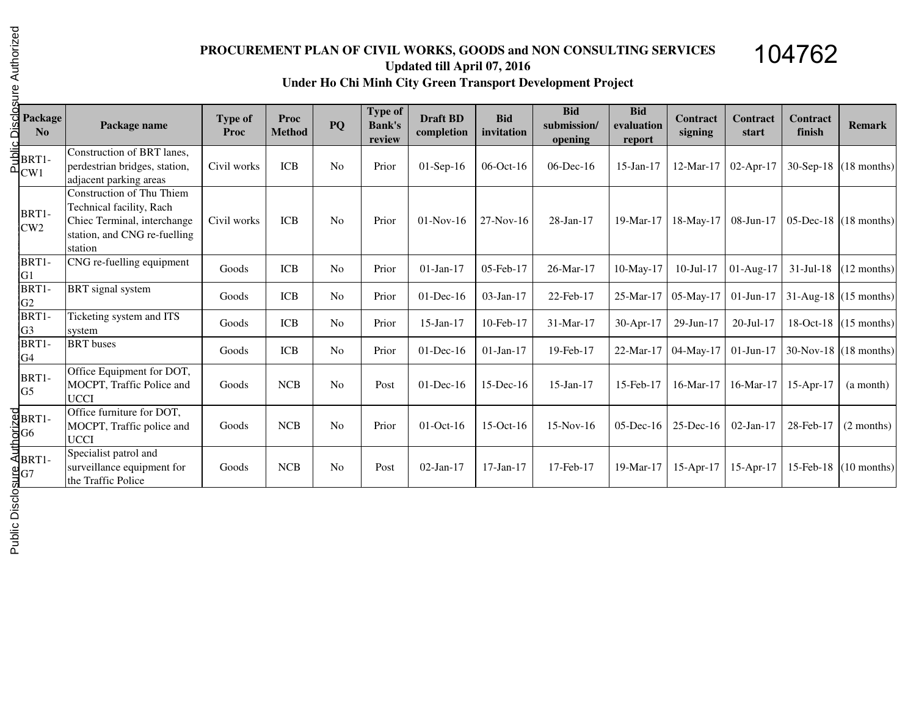## **PROCUREMENT PLAN OF CIVIL WORKS, GOODS and NON CONSULTING SERVICESUpdated till April 07, 2016Under Ho Chi Minh City Green Transport Development Project**

104762